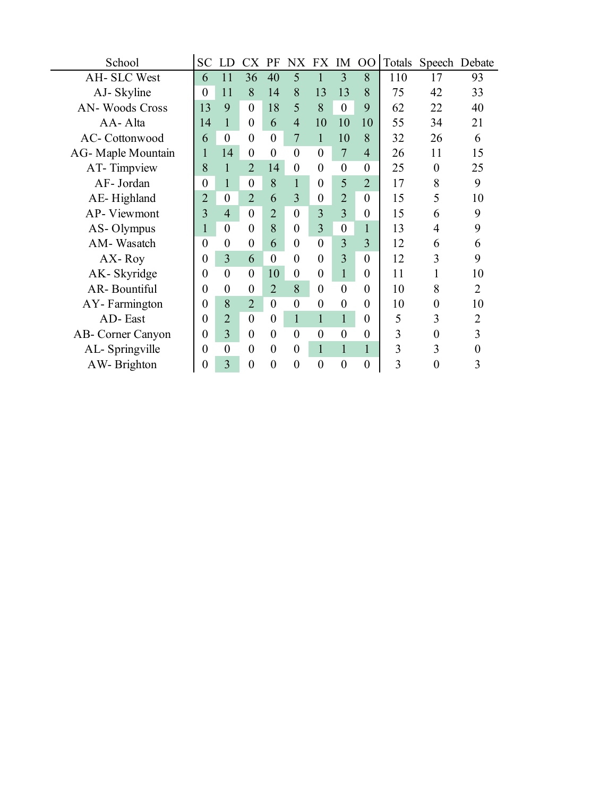| School                | <b>SC</b>        | LD               | CX               | PF             | NX FX IM       |                  |                  | $00\,$           |     | Totals Speech Debate |    |
|-----------------------|------------------|------------------|------------------|----------------|----------------|------------------|------------------|------------------|-----|----------------------|----|
| AH- SLC West          | 6                | 11               | 36               | 40             | 5              |                  | 3                | 8                | 110 | 17                   | 93 |
| AJ-Skyline            | $\Omega$         | 11               | 8                | 14             | 8              | 13               | 13               | 8                | 75  | 42                   | 33 |
| <b>AN-Woods Cross</b> | 13               | 9                | $\overline{0}$   | 18             | 5              | 8                | $\boldsymbol{0}$ | 9                | 62  | 22                   | 40 |
| AA-Alta               | 14               | $\mathbf{1}$     | $\boldsymbol{0}$ | 6              | $\overline{4}$ | 10               | 10               | 10               | 55  | 34                   | 21 |
| AC-Cottonwood         | 6                | $\boldsymbol{0}$ | $\boldsymbol{0}$ | $\overline{0}$ | 7              | 1                | 10               | 8                | 32  | 26                   | 6  |
| AG-Maple Mountain     | 1                | 14               | $\boldsymbol{0}$ | $\theta$       | $\theta$       | $\theta$         | $\overline{7}$   | $\overline{4}$   | 26  | 11                   | 15 |
| AT-Timpview           | 8                | $\mathbf{1}$     | $\overline{2}$   | 14             | $\theta$       | $\theta$         | $\boldsymbol{0}$ | $\boldsymbol{0}$ | 25  | $\theta$             | 25 |
| AF- Jordan            | $\boldsymbol{0}$ | $\mathbf{1}$     | $\boldsymbol{0}$ | 8              |                | $\theta$         | 5                | $\overline{2}$   | 17  | 8                    | 9  |
| AE-Highland           | $\overline{2}$   | $\boldsymbol{0}$ | $\overline{2}$   | 6              | 3              | $\boldsymbol{0}$ | $\overline{2}$   | $\overline{0}$   | 15  | 5                    | 10 |
| AP-Viewmont           | 3                | $\overline{4}$   | $\theta$         | $\overline{2}$ | $\theta$       | 3                | 3                | $\boldsymbol{0}$ | 15  | 6                    | 9  |
| AS-Olympus            | 1                | $\overline{0}$   | $\overline{0}$   | 8              | $\theta$       | 3                | $\boldsymbol{0}$ | $\mathbf{1}$     | 13  | 4                    | 9  |
| AM-Wasatch            | $\Omega$         | $\boldsymbol{0}$ | $\boldsymbol{0}$ | 6              | $\theta$       | $\theta$         | 3                | 3                | 12  | 6                    | 6  |
| AX-Roy                | $\theta$         | 3                | 6                | $\overline{0}$ | $\overline{0}$ | $\theta$         | 3                | $\overline{0}$   | 12  | 3                    | 9  |
| AK-Skyridge           | $\Omega$         | $\overline{0}$   | $\overline{0}$   | 10             | $\overline{0}$ | $\bf{0}$         | $\mathbf{1}$     | $\theta$         | 11  |                      | 10 |
| <b>AR-Bountiful</b>   | $\Omega$         | $\boldsymbol{0}$ | $\boldsymbol{0}$ | $\overline{2}$ | 8              | $\theta$         | $\overline{0}$   | $\theta$         | 10  | 8                    | 2  |
| AY-Farmington         | $\Omega$         | 8                | $\overline{2}$   | $\theta$       | $\theta$       | $\theta$         | $\boldsymbol{0}$ | $\boldsymbol{0}$ | 10  | $\boldsymbol{0}$     | 10 |
| AD-East               | $\theta$         | $\overline{2}$   | $\boldsymbol{0}$ | $\overline{0}$ | $\mathbf{1}$   | $\mathbf{1}$     | $\mathbf{1}$     | $\boldsymbol{0}$ | 5   | 3                    | 2  |
| AB- Corner Canyon     | $\theta$         | 3                | $\boldsymbol{0}$ | $\overline{0}$ | $\theta$       | $\theta$         | $\boldsymbol{0}$ | $\boldsymbol{0}$ | 3   | 0                    | 3  |
| AL-Springville        | $\theta$         | $\boldsymbol{0}$ | $\overline{0}$   | $\theta$       | $\overline{0}$ | 1                | $\mathbf{1}$     | $\mathbf{1}$     | 3   | 3                    | 0  |
| AW-Brighton           | $\theta$         | 3                | $\overline{0}$   | $\overline{0}$ | $\theta$       | $\overline{0}$   | $\boldsymbol{0}$ | $\boldsymbol{0}$ | 3   | $\theta$             | 3  |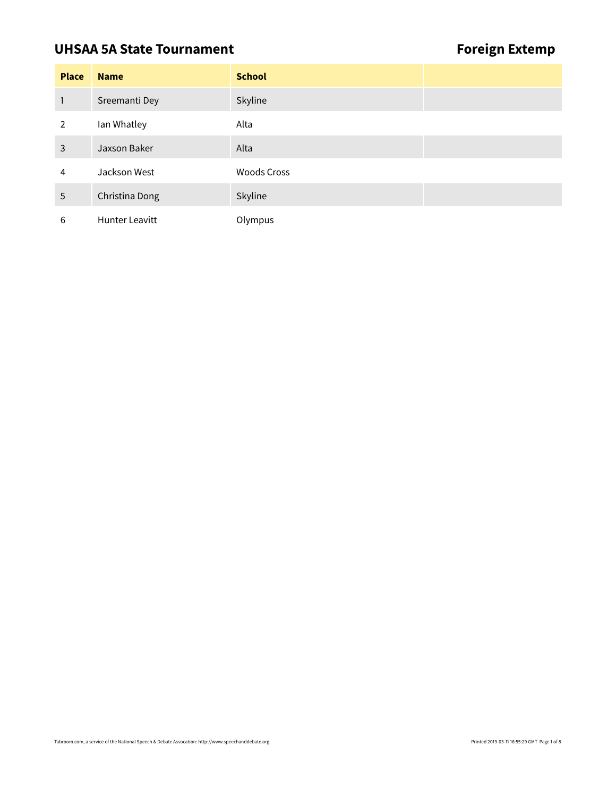# UHSAA 5A State Tournament **Foreign Extemp**

| <b>Place</b> | <b>Name</b>    | <b>School</b>      |  |
|--------------|----------------|--------------------|--|
| 1            | Sreemanti Dey  | Skyline            |  |
| 2            | Ian Whatley    | Alta               |  |
| 3            | Jaxson Baker   | Alta               |  |
| 4            | Jackson West   | <b>Woods Cross</b> |  |
| 5            | Christina Dong | Skyline            |  |
| 6            | Hunter Leavitt | Olympus            |  |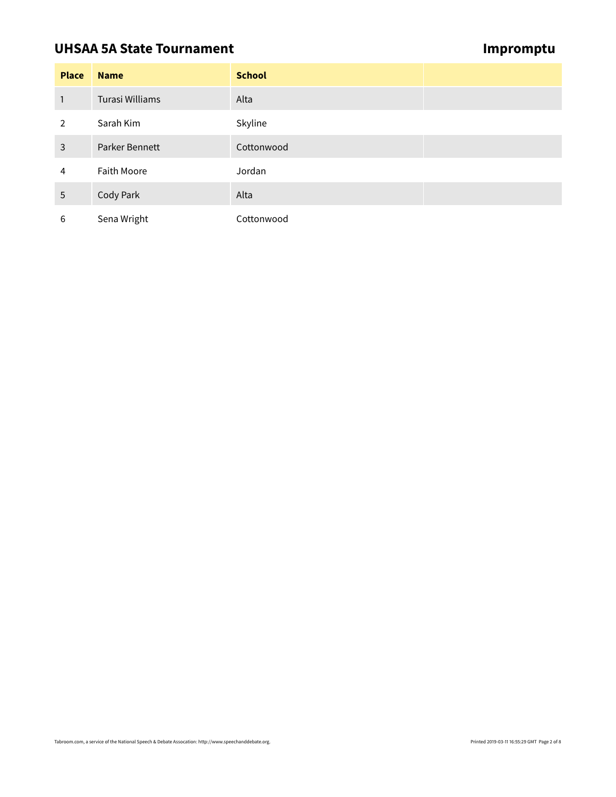### **UHSAA 5A State Tournament Contract Contract Contract Contract Contract Contract Contract Contract Contract Contract Contract Contract Contract Contract Contract Contract Contract Contract Contract Contract Contract Contra**

| <b>Place</b>   | <b>Name</b>        | <b>School</b> |  |
|----------------|--------------------|---------------|--|
| 1              | Turasi Williams    | Alta          |  |
| $\overline{2}$ | Sarah Kim          | Skyline       |  |
| 3              | Parker Bennett     | Cottonwood    |  |
| 4              | <b>Faith Moore</b> | Jordan        |  |
| 5              | Cody Park          | Alta          |  |
| 6              | Sena Wright        | Cottonwood    |  |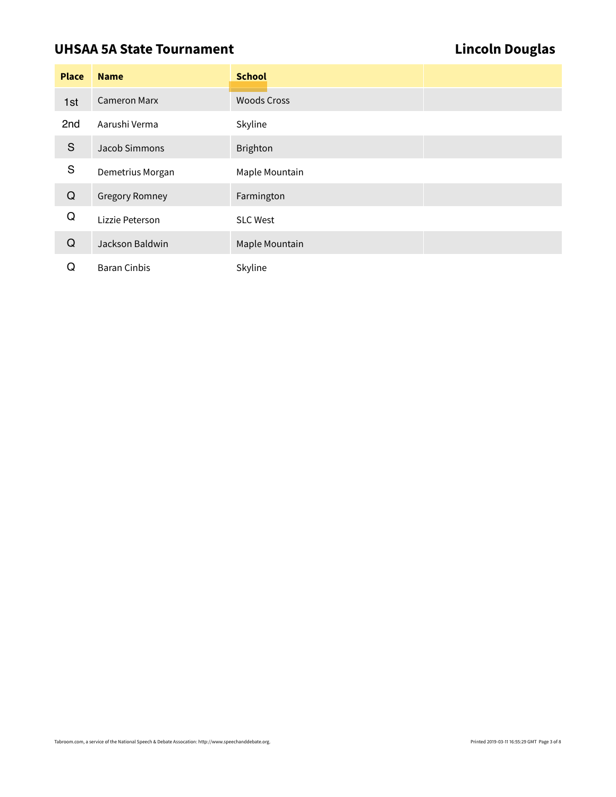# UHSAA 5A State Tournament **Lincoln Douglas**

| <b>Place</b>  | <b>Name</b>           | <b>School</b>      |  |
|---------------|-----------------------|--------------------|--|
| 1st           | <b>Cameron Marx</b>   | <b>Woods Cross</b> |  |
| 2nd           | Aarushi Verma         | Skyline            |  |
| ${\mathsf S}$ | Jacob Simmons         | <b>Brighton</b>    |  |
| ${\mathsf S}$ | Demetrius Morgan      | Maple Mountain     |  |
| $\mathsf Q$   | <b>Gregory Romney</b> | Farmington         |  |
| Q             | Lizzie Peterson       | <b>SLC West</b>    |  |
| Q             | Jackson Baldwin       | Maple Mountain     |  |
| Q             | <b>Baran Cinbis</b>   | Skyline            |  |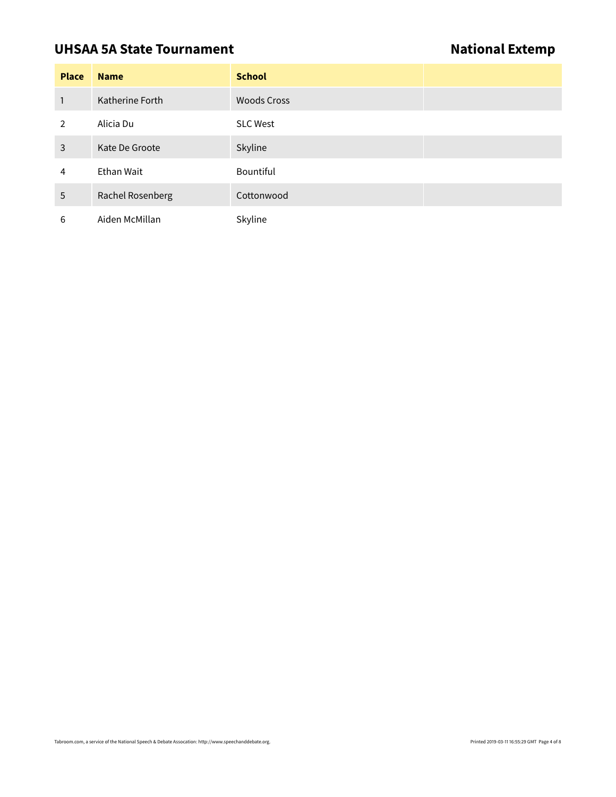## **UHSAA 5A State Tournament National Extemp**

| <b>Place</b> | <b>Name</b>      | <b>School</b>      |
|--------------|------------------|--------------------|
| $\mathbf{1}$ | Katherine Forth  | <b>Woods Cross</b> |
| 2            | Alicia Du        | <b>SLC West</b>    |
| 3            | Kate De Groote   | Skyline            |
| 4            | Ethan Wait       | <b>Bountiful</b>   |
| 5            | Rachel Rosenberg | Cottonwood         |
| 6            | Aiden McMillan   | Skyline            |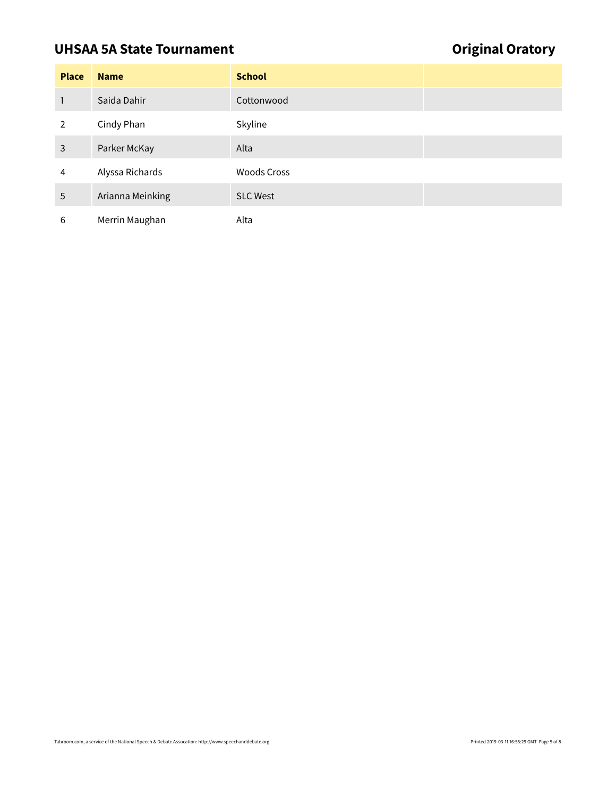# UHSAA 5A State Tournament **Original Oratory**

| <b>Place</b>   | <b>Name</b>      | <b>School</b>      |
|----------------|------------------|--------------------|
| 1              | Saida Dahir      | Cottonwood         |
| $\overline{2}$ | Cindy Phan       | Skyline            |
| 3              | Parker McKay     | Alta               |
| 4              | Alyssa Richards  | <b>Woods Cross</b> |
| 5              | Arianna Meinking | <b>SLC West</b>    |
| 6              | Merrin Maughan   | Alta               |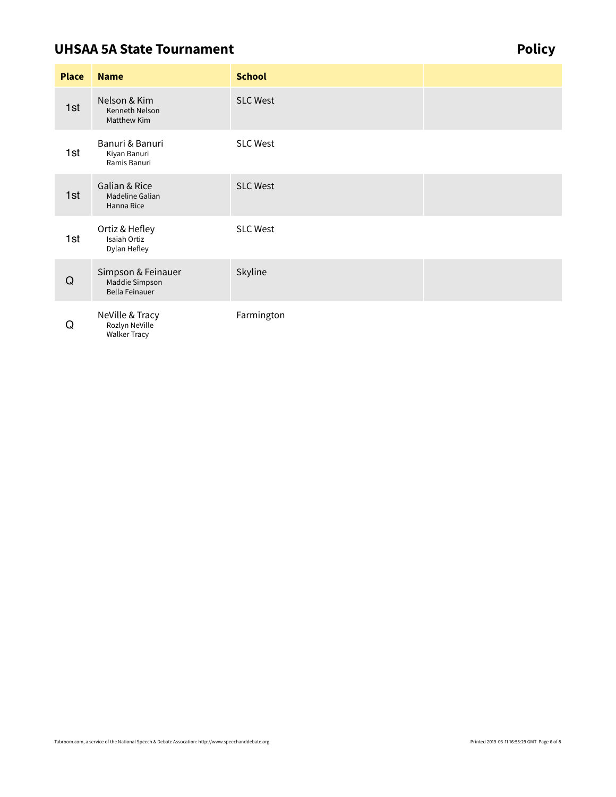### **UHSAA 5A State Tournament Contract Contract Contract Contract Contract Contract Contract Contract Contract Contract Contract Contract Contract Contract Contract Contract Contract Contract Contract Contract Contract Contra**

**Place Name School** Nelson & Kim Kenneth Nelson Matthew Kim SLC West Banuri & Banuri Kiyan Banuri Ramis Banuri SLC West Galian & Rice Madeline Galian Hanna Rice SLC West Ortiz & Hefley Isaiah Ortiz Dylan Hefley SLC West Simpson & Feinauer Maddie Simpson Bella Feinauer Skyline NeVille & Tracy Rozlyn NeVille Walker Tracy Farmington 1st 1st 1st 1st Q Q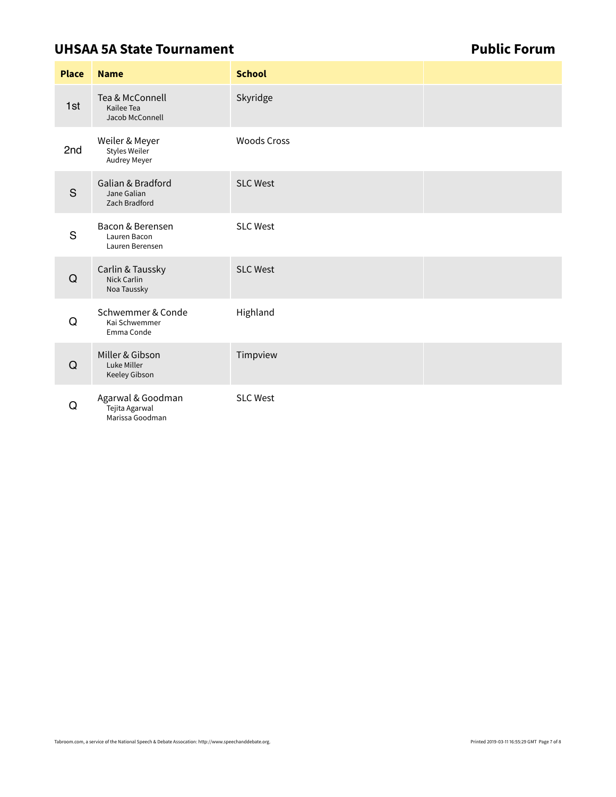### **UHSAA 5A State Tournament Construction Construction Public Forum**

| <b>Place</b> | <b>Name</b>                                            | <b>School</b>      |  |
|--------------|--------------------------------------------------------|--------------------|--|
| 1st          | Tea & McConnell<br>Kailee Tea<br>Jacob McConnell       | Skyridge           |  |
| 2nd          | Weiler & Meyer<br><b>Styles Weiler</b><br>Audrey Meyer | <b>Woods Cross</b> |  |
| S            | Galian & Bradford<br>Jane Galian<br>Zach Bradford      | <b>SLC West</b>    |  |
| S            | Bacon & Berensen<br>Lauren Bacon<br>Lauren Berensen    | <b>SLC West</b>    |  |
| Q            | Carlin & Taussky<br>Nick Carlin<br>Noa Taussky         | <b>SLC West</b>    |  |
| Q            | Schwemmer & Conde<br>Kai Schwemmer<br>Emma Conde       | Highland           |  |
| Q            | Miller & Gibson<br>Luke Miller<br>Keeley Gibson        | Timpview           |  |
| Q            | Agarwal & Goodman<br>Tejita Agarwal<br>Marissa Goodman | <b>SLC West</b>    |  |